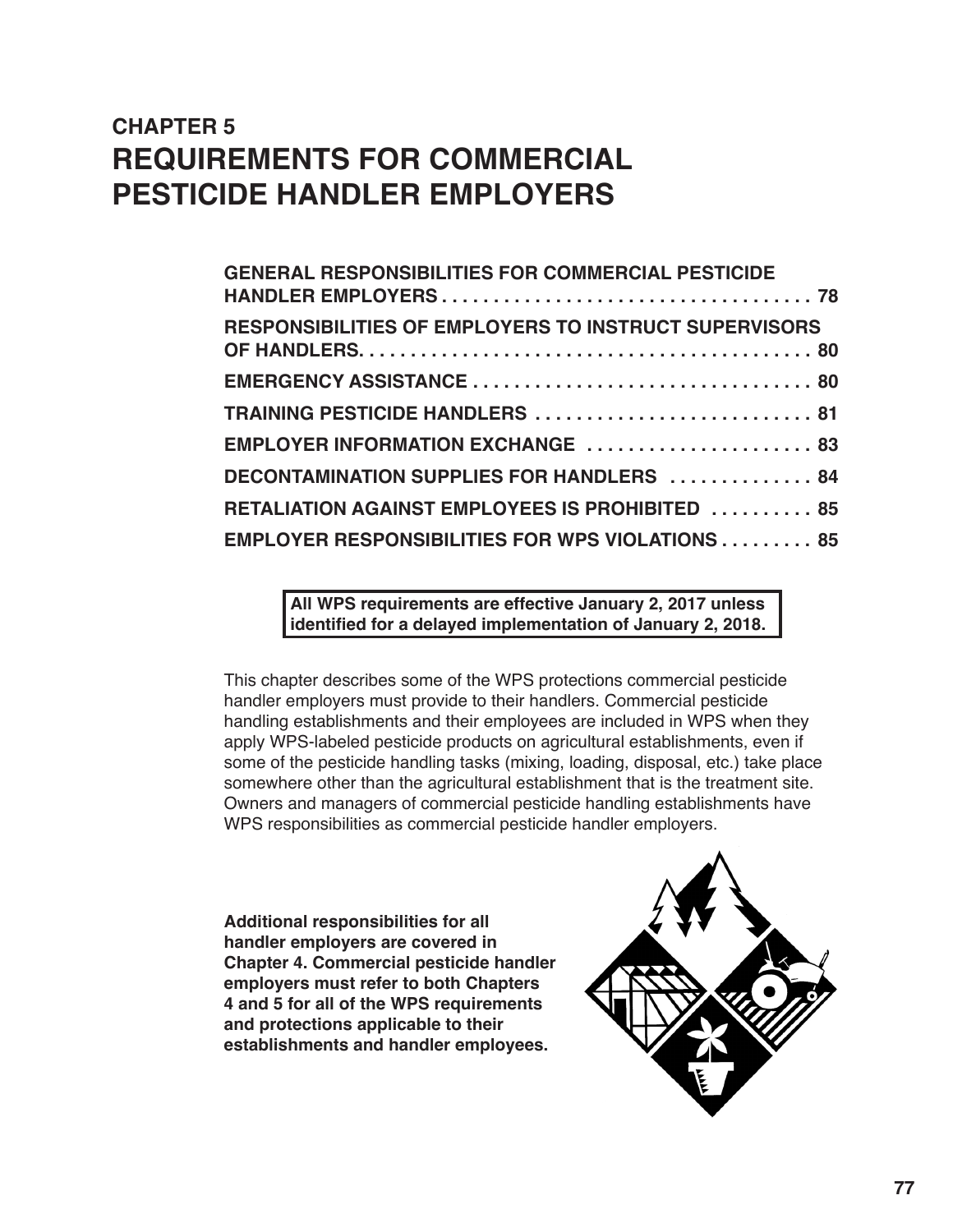# **CHAPTER 5 REQUIREMENTS FOR COMMERCIAL PESTICIDE HANDLER EMPLOYERS**

| <b>GENERAL RESPONSIBILITIES FOR COMMERCIAL PESTICIDE</b>     |
|--------------------------------------------------------------|
| <b>RESPONSIBILITIES OF EMPLOYERS TO INSTRUCT SUPERVISORS</b> |
|                                                              |
| TRAINING PESTICIDE HANDLERS  81                              |
| EMPLOYER INFORMATION EXCHANGE  83                            |
| DECONTAMINATION SUPPLIES FOR HANDLERS  84                    |
| RETALIATION AGAINST EMPLOYEES IS PROHIBITED  85              |
| <b>EMPLOYER RESPONSIBILITIES FOR WPS VIOLATIONS 85</b>       |

**All WPS requirements are effective January 2, 2017 unless identified for a delayed implementation of January 2, 2018.** 

This chapter describes some of the WPS protections commercial pesticide handler employers must provide to their handlers. Commercial pesticide handling establishments and their employees are included in WPS when they apply WPS-labeled pesticide products on agricultural establishments, even if some of the pesticide handling tasks (mixing, loading, disposal, etc.) take place somewhere other than the agricultural establishment that is the treatment site. Owners and managers of commercial pesticide handling establishments have WPS responsibilities as commercial pesticide handler employers.

**Additional responsibilities for all handler employers are covered in Chapter 4. Commercial pesticide handler employers must refer to both Chapters 4 and 5 for all of the WPS requirements and protections applicable to their establishments and handler employees.**

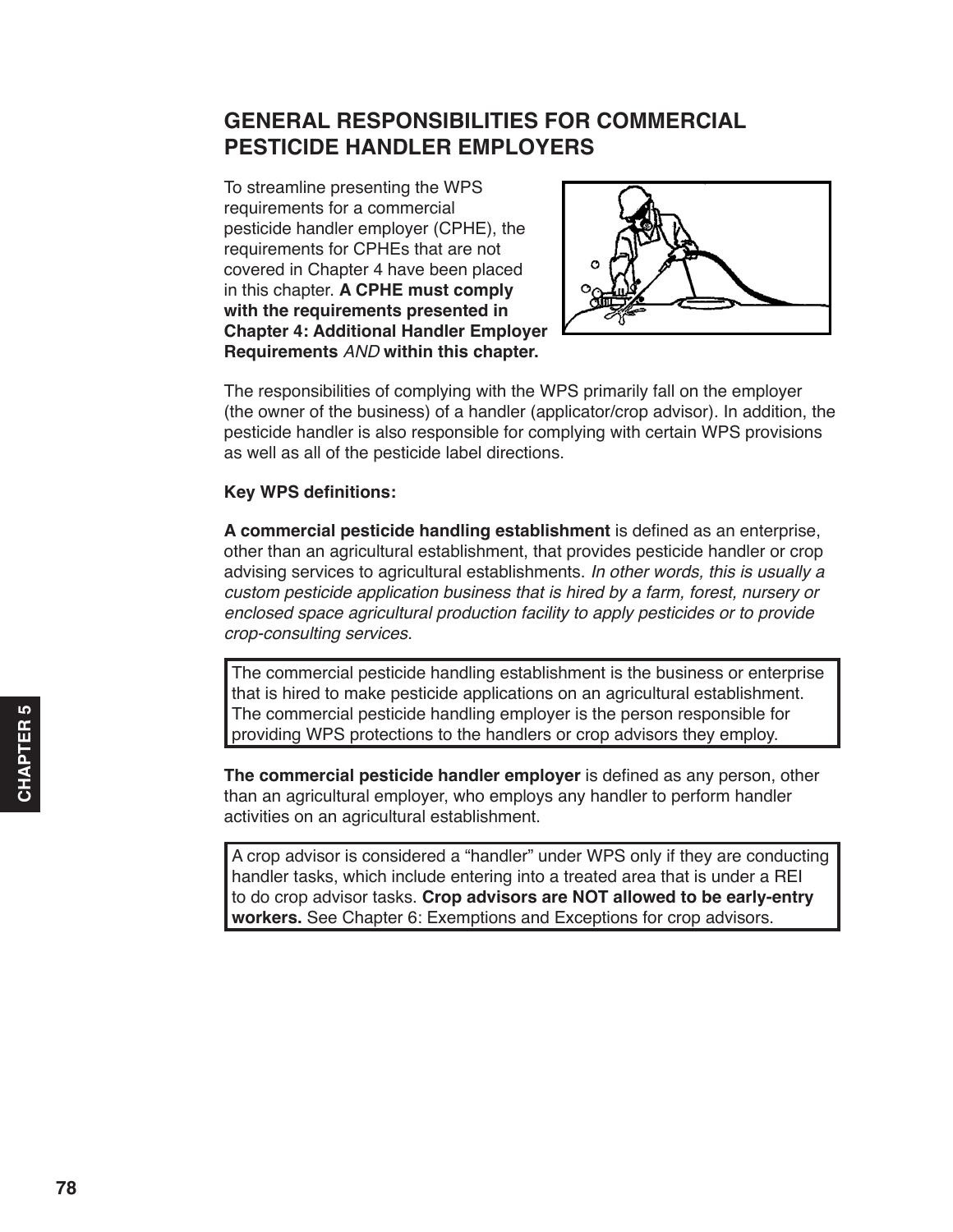## <span id="page-1-0"></span>**GENERAL RESPONSIBILITIES FOR COMMERCIAL PESTICIDE HANDLER EMPLOYERS**

To streamline presenting the WPS requirements for a commercial pesticide handler employer (CPHE), the requirements for CPHEs that are not covered in Chapter 4 have been placed in this chapter. **A CPHE must comply with the requirements presented in Chapter 4: Additional Handler Employer Requirements** *AND* **within this chapter.**



The responsibilities of complying with the WPS primarily fall on the employer (the owner of the business) of a handler (applicator/crop advisor). In addition, the pesticide handler is also responsible for complying with certain WPS provisions as well as all of the pesticide label directions.

#### **Key WPS definitions:**

**A commercial pesticide handling establishment** is defined as an enterprise, other than an agricultural establishment, that provides pesticide handler or crop advising services to agricultural establishments. *In other words, this is usually a custom pesticide application business that is hired by a farm, forest, nursery or enclosed space agricultural production facility to apply pesticides or to provide crop-consulting services.*

The commercial pesticide handling establishment is the business or enterprise that is hired to make pesticide applications on an agricultural establishment. The commercial pesticide handling employer is the person responsible for providing WPS protections to the handlers or crop advisors they employ.

**The commercial pesticide handler employer** is defined as any person, other than an agricultural employer, who employs any handler to perform handler activities on an agricultural establishment.

A crop advisor is considered a "handler" under WPS only if they are conducting handler tasks, which include entering into a treated area that is under a REI to do crop advisor tasks. **Crop advisors are NOT allowed to be early-entry workers.** See Chapter 6: Exemptions and Exceptions for crop advisors.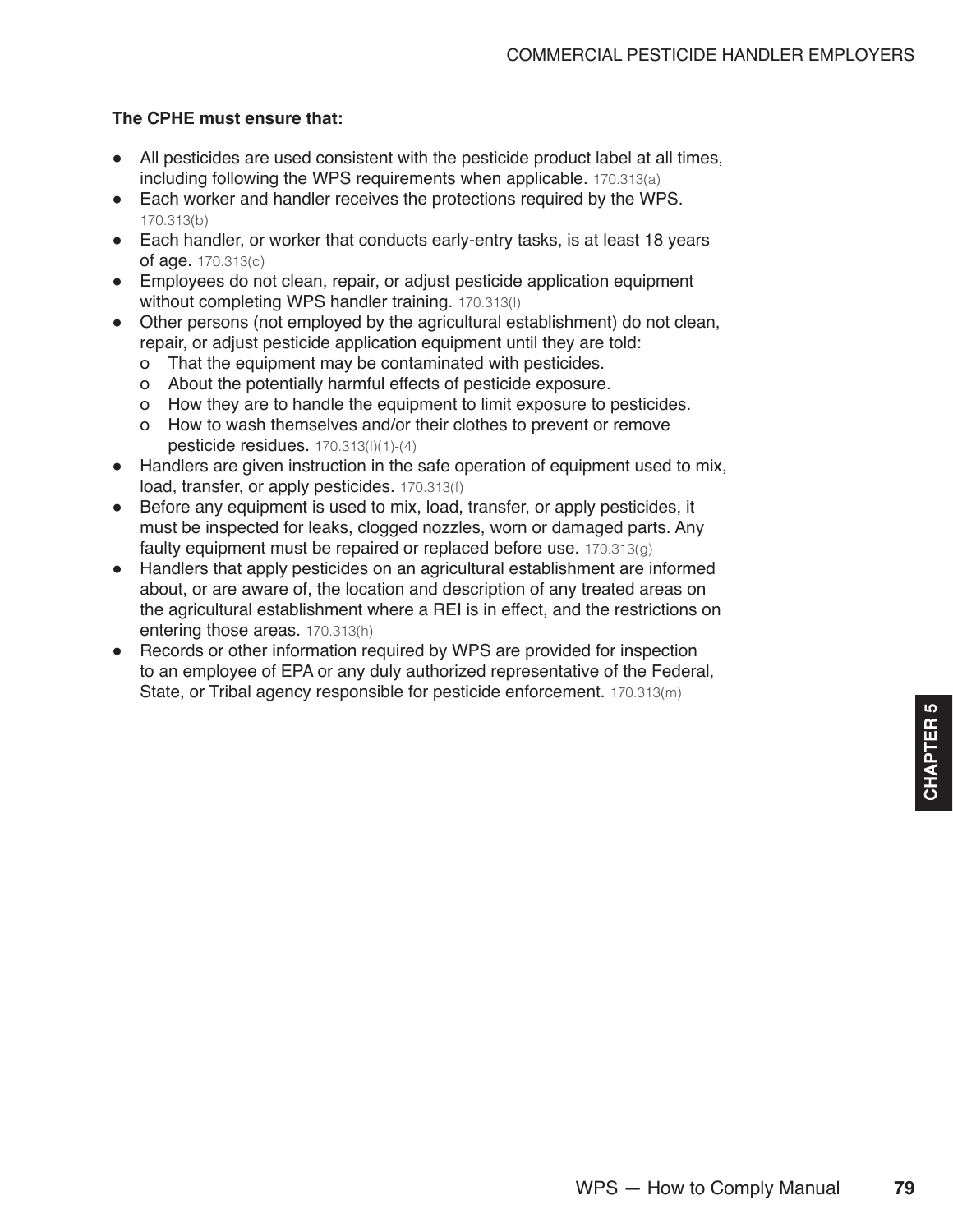#### **The CPHE must ensure that:**

- All pesticides are used consistent with the pesticide product label at all times, including following the WPS requirements when applicable. 170.313(a)
- Each worker and handler receives the protections required by the WPS. 170.313(b)
- Each handler, or worker that conducts early-entry tasks, is at least 18 years of age. 170.313(c)
- Employees do not clean, repair, or adjust pesticide application equipment without completing WPS handler training. 170.313(l)
- Other persons (not employed by the agricultural establishment) do not clean, repair, or adjust pesticide application equipment until they are told:
	- о That the equipment may be contaminated with pesticides.
	- о About the potentially harmful effects of pesticide exposure.
	- о How they are to handle the equipment to limit exposure to pesticides.
	- о How to wash themselves and/or their clothes to prevent or remove pesticide residues. 170.313(l)(1)-(4)
- Handlers are given instruction in the safe operation of equipment used to mix, load, transfer, or apply pesticides. 170.313(f)
- Before any equipment is used to mix, load, transfer, or apply pesticides, it must be inspected for leaks, clogged nozzles, worn or damaged parts. Any faulty equipment must be repaired or replaced before use.  $170.313(q)$
- Handlers that apply pesticides on an agricultural establishment are informed about, or are aware of, the location and description of any treated areas on the agricultural establishment where a REI is in effect, and the restrictions on entering those areas. 170.313(h)
- Records or other information required by WPS are provided for inspection to an employee of EPA or any duly authorized representative of the Federal, State, or Tribal agency responsible for pesticide enforcement. 170.313(m)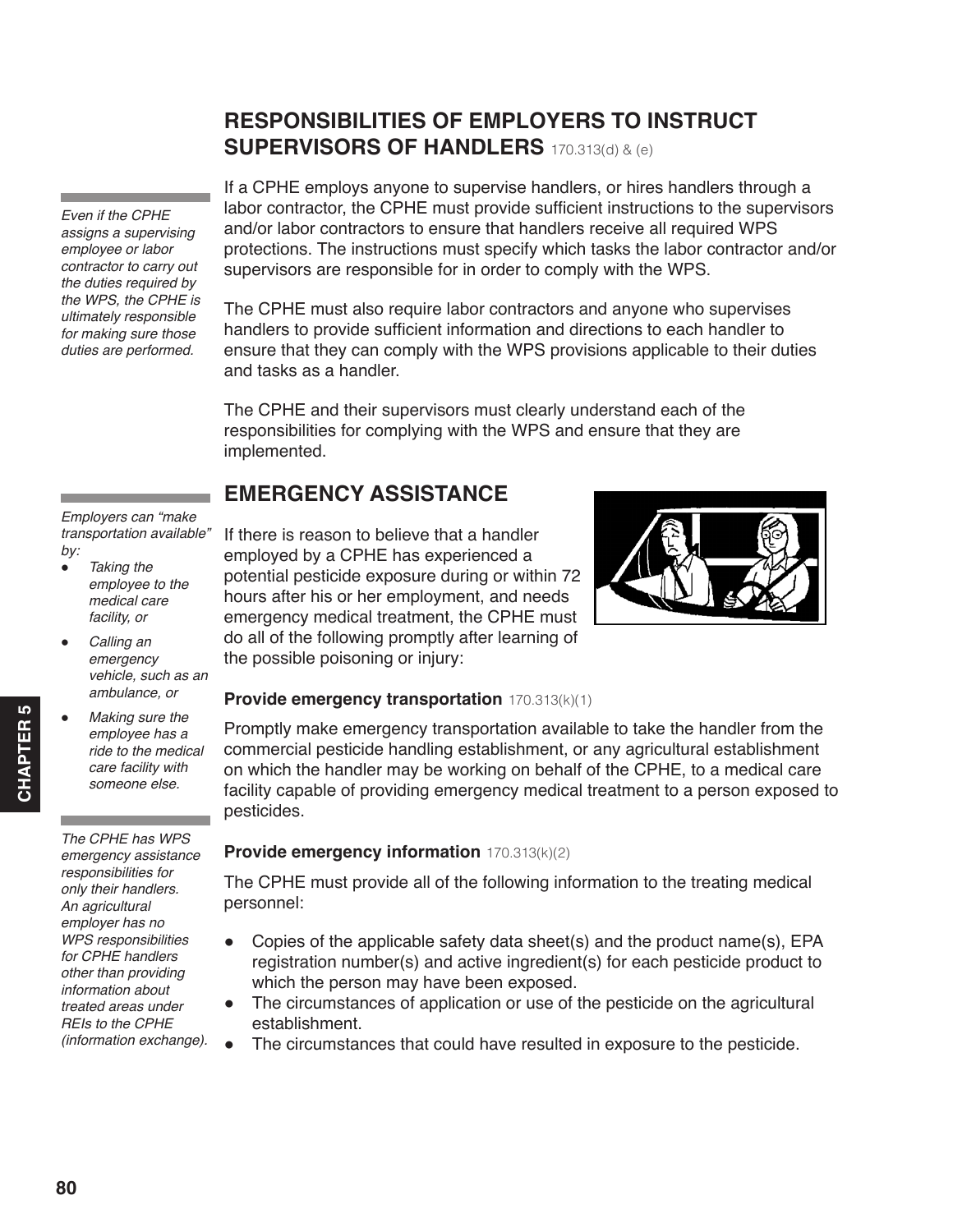### **RESPONSIBILITIES OF EMPLOYERS TO INSTRUCT SUPERVISORS OF HANDLERS** 170.313(d) & (e)

<span id="page-3-0"></span>*Even if the CPHE assigns a supervising employee or labor contractor to carry out the duties required by the WPS, the CPHE is ultimately responsible for making sure those duties are performed.*

If a CPHE employs anyone to supervise handlers, or hires handlers through a labor contractor, the CPHE must provide sufficient instructions to the supervisors and/or labor contractors to ensure that handlers receive all required WPS protections. The instructions must specify which tasks the labor contractor and/or supervisors are responsible for in order to comply with the WPS.

The CPHE must also require labor contractors and anyone who supervises handlers to provide sufficient information and directions to each handler to ensure that they can comply with the WPS provisions applicable to their duties and tasks as a handler.

The CPHE and their supervisors must clearly understand each of the responsibilities for complying with the WPS and ensure that they are implemented.

## **EMERGENCY ASSISTANCE**

*Employers can "make transportation available" by:*

- *Taking the employee to the medical care facility, or*
- *Calling an emergency vehicle, such as an ambulance, or*
- **Making sure the** *employee has a ride to the medical care facility with someone else.*

*The CPHE has WPS emergency assistance responsibilities for only their handlers. An agricultural employer has no WPS responsibilities for CPHE handlers other than providing information about treated areas under REIs to the CPHE (information exchange).* If there is reason to believe that a handler employed by a CPHE has experienced a potential pesticide exposure during or within 72 hours after his or her employment, and needs emergency medical treatment, the CPHE must do all of the following promptly after learning of the possible poisoning or injury:



#### **Provide emergency transportation** 170.313(k)(1)

Promptly make emergency transportation available to take the handler from the commercial pesticide handling establishment, or any agricultural establishment on which the handler may be working on behalf of the CPHE, to a medical care facility capable of providing emergency medical treatment to a person exposed to pesticides.

#### **Provide emergency information** 170.313(k)(2)

The CPHE must provide all of the following information to the treating medical personnel:

- Copies of the applicable safety data sheet(s) and the product name(s), EPA registration number(s) and active ingredient(s) for each pesticide product to which the person may have been exposed.
- The circumstances of application or use of the pesticide on the agricultural establishment.
- The circumstances that could have resulted in exposure to the pesticide.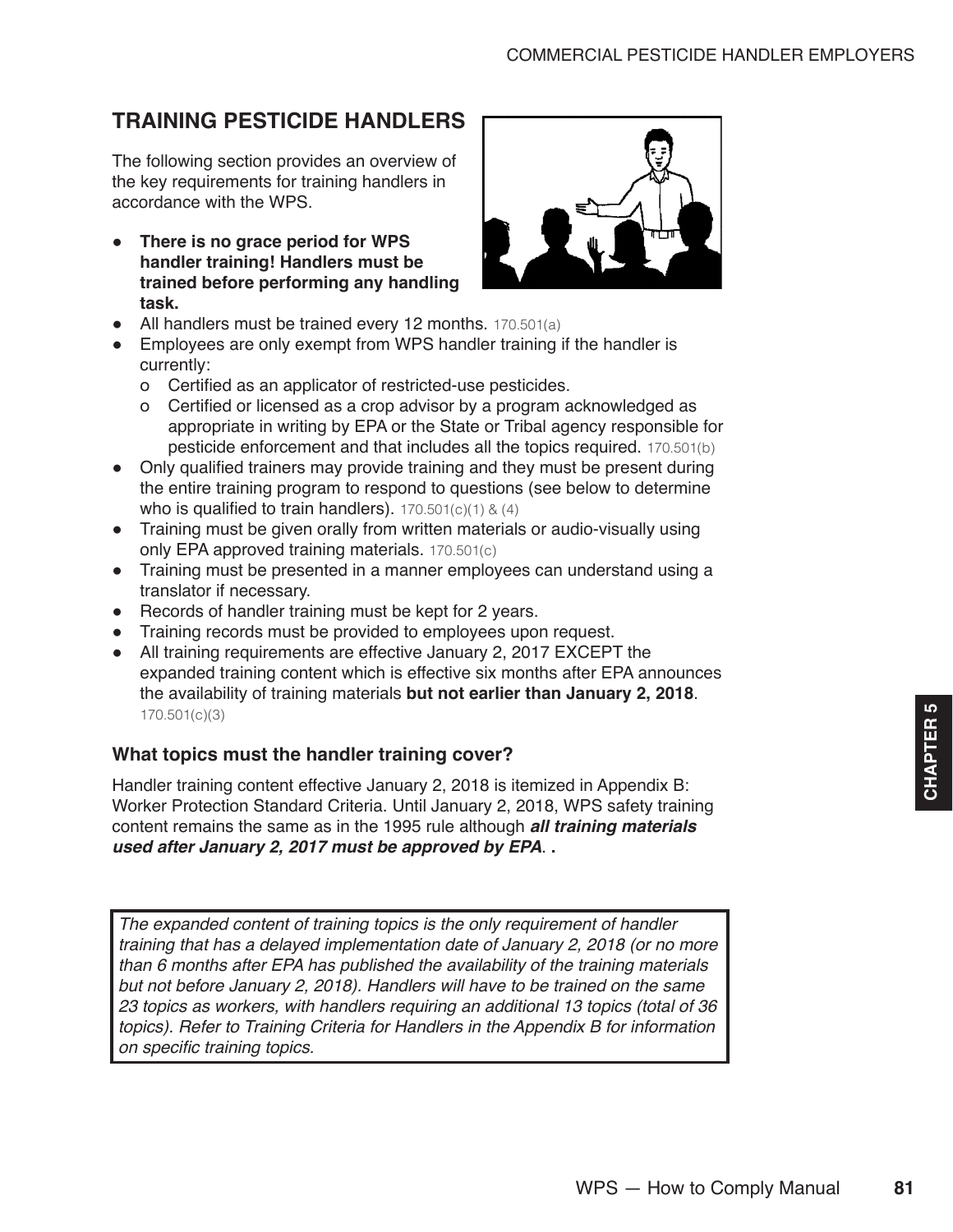## <span id="page-4-0"></span>**TRAINING PESTICIDE HANDLERS**

The following section provides an overview of the key requirements for training handlers in accordance with the WPS.

● **There is no grace period for WPS handler training! Handlers must be trained before performing any handling task.**



- All handlers must be trained every 12 months. 170.501(a)
- Employees are only exempt from WPS handler training if the handler is currently:
	- о Certified as an applicator of restricted-use pesticides.
	- о Certified or licensed as a crop advisor by a program acknowledged as appropriate in writing by EPA or the State or Tribal agency responsible for pesticide enforcement and that includes all the topics required. 170.501(b)
- Only qualified trainers may provide training and they must be present during the entire training program to respond to questions (see below to determine who is qualified to train handlers).  $170.501(c)(1) & (4)$
- Training must be given orally from written materials or audio-visually using only EPA approved training materials. 170.501(c)
- Training must be presented in a manner employees can understand using a translator if necessary.
- Records of handler training must be kept for 2 years.
- Training records must be provided to employees upon request.
- All training requirements are effective January 2, 2017 EXCEPT the expanded training content which is effective six months after EPA announces the availability of training materials **but not earlier than January 2, 2018**. 170.501(c)(3)

#### **What topics must the handler training cover?**

Handler training content effective January 2, 2018 is itemized in Appendix B: Worker Protection Standard Criteria. Until January 2, 2018, WPS safety training content remains the same as in the 1995 rule although *all training materials used after January 2, 2017 must be approved by EPA*. **.**

*The expanded content of training topics is the only requirement of handler training that has a delayed implementation date of January 2, 2018 (or no more than 6 months after EPA has published the availability of the training materials but not before January 2, 2018). Handlers will have to be trained on the same 23 topics as workers, with handlers requiring an additional 13 topics (total of 36 topics). Refer to Training Criteria for Handlers in the Appendix B for information*  on specific training topics.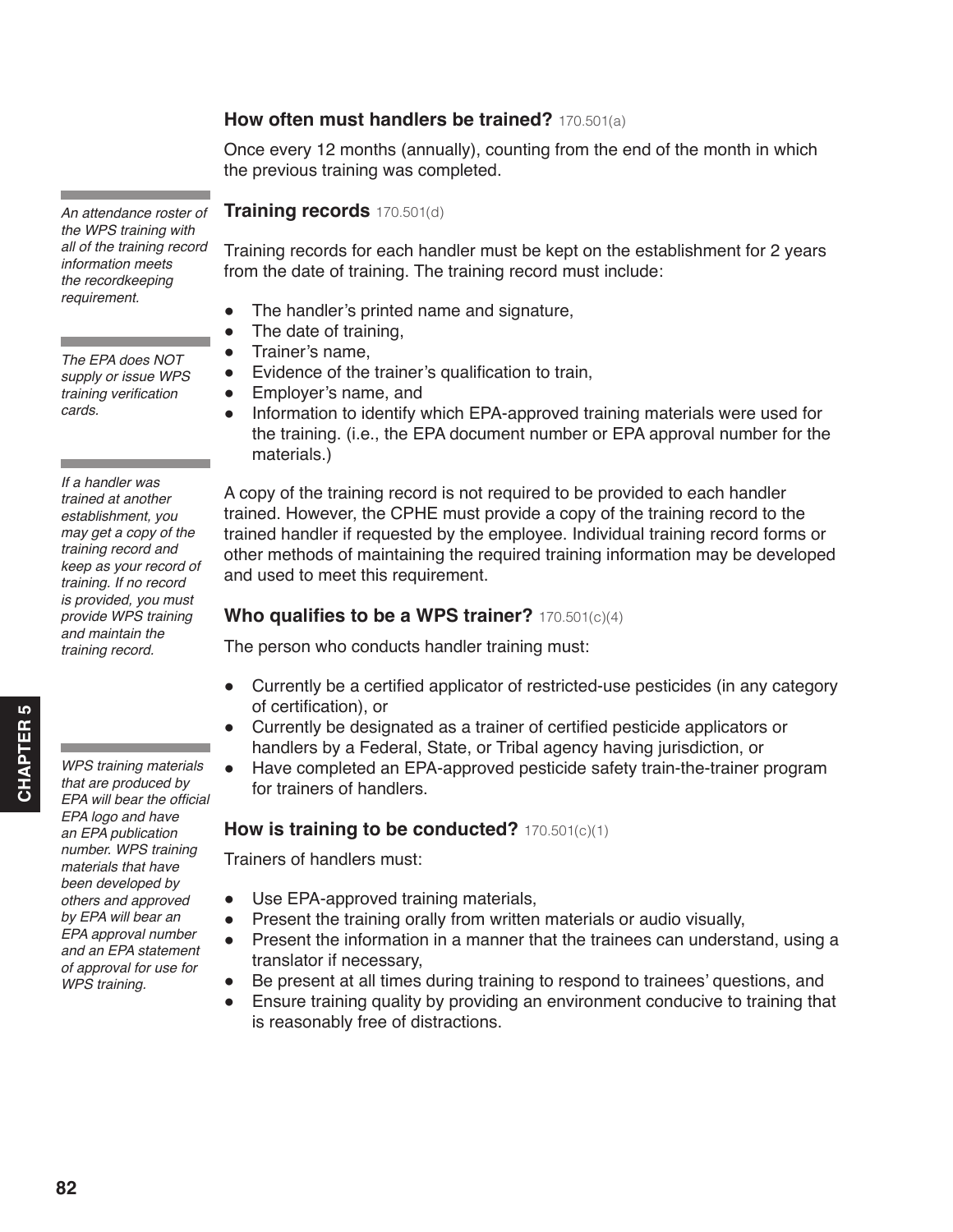#### **How often must handlers be trained?** 170.501(a)

Once every 12 months (annually), counting from the end of the month in which the previous training was completed.

**Training records** 170.501(d)

Training records for each handler must be kept on the establishment for 2 years from the date of training. The training record must include:

- The handler's printed name and signature,
- The date of training,
- Trainer's name,
- Evidence of the trainer's qualification to train,
- Employer's name, and
- Information to identify which EPA-approved training materials were used for the training. (i.e., the EPA document number or EPA approval number for the materials.)

A copy of the training record is not required to be provided to each handler trained. However, the CPHE must provide a copy of the training record to the trained handler if requested by the employee. Individual training record forms or other methods of maintaining the required training information may be developed and used to meet this requirement.

#### **Who qualifies to be a WPS trainer?** 170.501(c)(4)

The person who conducts handler training must:

- Currently be a certified applicator of restricted-use pesticides (in any category of certification), or
- Currently be designated as a trainer of certified pesticide applicators or handlers by a Federal, State, or Tribal agency having jurisdiction, or
- Have completed an EPA-approved pesticide safety train-the-trainer program for trainers of handlers.

#### **How is training to be conducted?** 170.501(c)(1)

Trainers of handlers must:

- Use EPA-approved training materials,
- Present the training orally from written materials or audio visually,
- Present the information in a manner that the trainees can understand, using a translator if necessary,
- Be present at all times during training to respond to trainees' questions, and
- Ensure training quality by providing an environment conducive to training that is reasonably free of distractions.

*An attendance roster of the WPS training with all of the training record information meets the recordkeeping requirement.*

*The EPA does NOT supply or issue WPS*  training verification *cards.*

*If a handler was trained at another establishment, you may get a copy of the training record and keep as your record of training. If no record is provided, you must provide WPS training and maintain the training record.* 

*WPS training materials that are produced by*  EPA will bear the official *EPA logo and have an EPA publication number. WPS training materials that have been developed by others and approved by EPA will bear an EPA approval number and an EPA statement of approval for use for WPS training.*

**82**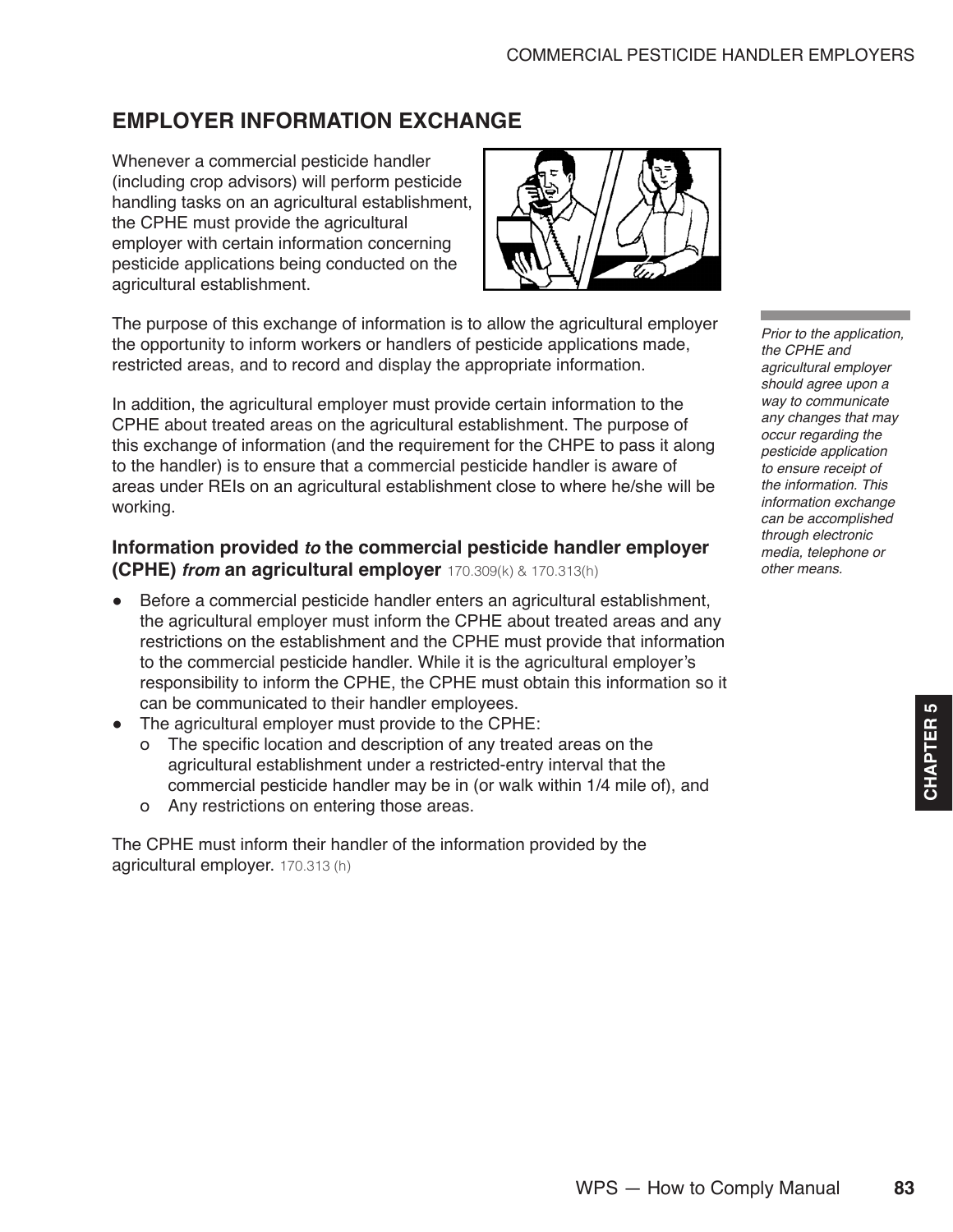## <span id="page-6-0"></span>**EMPLOYER INFORMATION EXCHANGE**

Whenever a commercial pesticide handler (including crop advisors) will perform pesticide handling tasks on an agricultural establishment, the CPHE must provide the agricultural employer with certain information concerning pesticide applications being conducted on the agricultural establishment.



The purpose of this exchange of information is to allow the agricultural employer the opportunity to inform workers or handlers of pesticide applications made, restricted areas, and to record and display the appropriate information.

In addition, the agricultural employer must provide certain information to the CPHE about treated areas on the agricultural establishment. The purpose of this exchange of information (and the requirement for the CHPE to pass it along to the handler) is to ensure that a commercial pesticide handler is aware of areas under REIs on an agricultural establishment close to where he/she will be working.

#### **Information provided** *to* **the commercial pesticide handler employer (CPHE)** *from* **an agricultural employer** 170.309(k) & 170.313(h)

- Before a commercial pesticide handler enters an agricultural establishment, the agricultural employer must inform the CPHE about treated areas and any restrictions on the establishment and the CPHE must provide that information to the commercial pesticide handler. While it is the agricultural employer's responsibility to inform the CPHE, the CPHE must obtain this information so it can be communicated to their handler employees.
- The agricultural employer must provide to the CPHE:
	- о The specific location and description of any treated areas on the agricultural establishment under a restricted-entry interval that the commercial pesticide handler may be in (or walk within 1/4 mile of), and
	- о Any restrictions on entering those areas.

The CPHE must inform their handler of the information provided by the agricultural employer. 170.313 (h)

*Prior to the application, the CPHE and agricultural employer should agree upon a way to communicate any changes that may occur regarding the pesticide application to ensure receipt of the information. This information exchange can be accomplished through electronic media, telephone or other means.*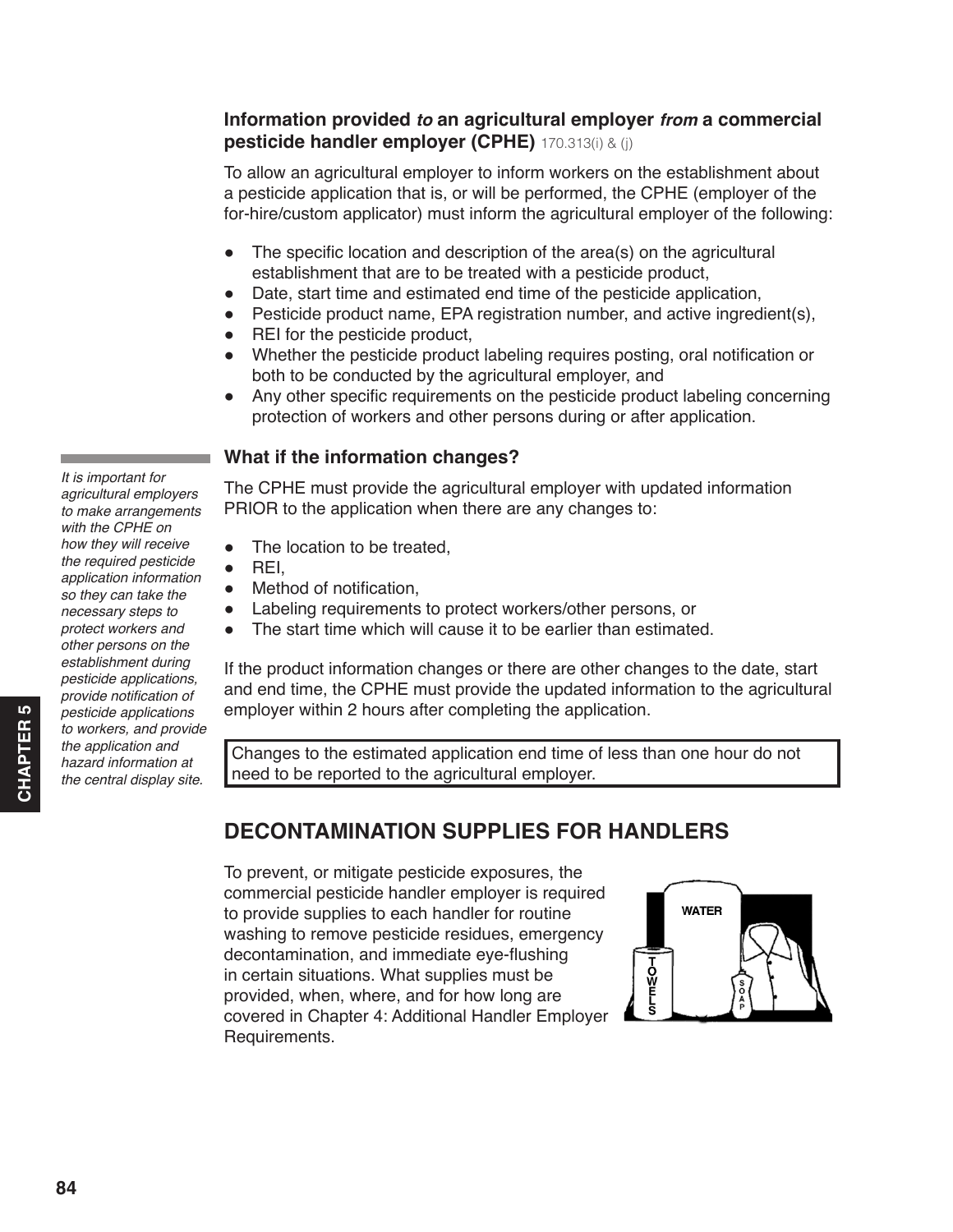#### <span id="page-7-0"></span>**Information provided** *to* **an agricultural employer** *from* **a commercial pesticide handler employer (CPHE)** 170.313(i) & (j)

To allow an agricultural employer to inform workers on the establishment about a pesticide application that is, or will be performed, the CPHE (employer of the for-hire/custom applicator) must inform the agricultural employer of the following:

- $\bullet$  The specific location and description of the area(s) on the agricultural establishment that are to be treated with a pesticide product,
- Date, start time and estimated end time of the pesticide application,
- Pesticide product name, EPA registration number, and active ingredient(s),
- REI for the pesticide product,
- Whether the pesticide product labeling requires posting, oral notification or both to be conducted by the agricultural employer, and
- Any other specific requirements on the pesticide product labeling concerning protection of workers and other persons during or after application.

#### **What if the information changes?**

The CPHE must provide the agricultural employer with updated information PRIOR to the application when there are any changes to:

- The location to be treated,
- $\bullet$  REI.
- Method of notification,
- Labeling requirements to protect workers/other persons, or
- The start time which will cause it to be earlier than estimated.

If the product information changes or there are other changes to the date, start and end time, the CPHE must provide the updated information to the agricultural employer within 2 hours after completing the application.

Changes to the estimated application end time of less than one hour do not need to be reported to the agricultural employer.

## **DECONTAMINATION SUPPLIES FOR HANDLERS**

To prevent, or mitigate pesticide exposures, the commercial pesticide handler employer is required to provide supplies to each handler for routine washing to remove pesticide residues, emergency decontamination, and immediate eye-flushing in certain situations. What supplies must be provided, when, where, and for how long are covered in Chapter 4: Additional Handler Employer Requirements.



*agricultural employers to make arrangements with the CPHE on how they will receive the required pesticide application information so they can take the necessary steps to protect workers and other persons on the establishment during pesticide applications,*  provide notification of *pesticide applications to workers, and provide the application and hazard information at the central display site.* 

*It is important for*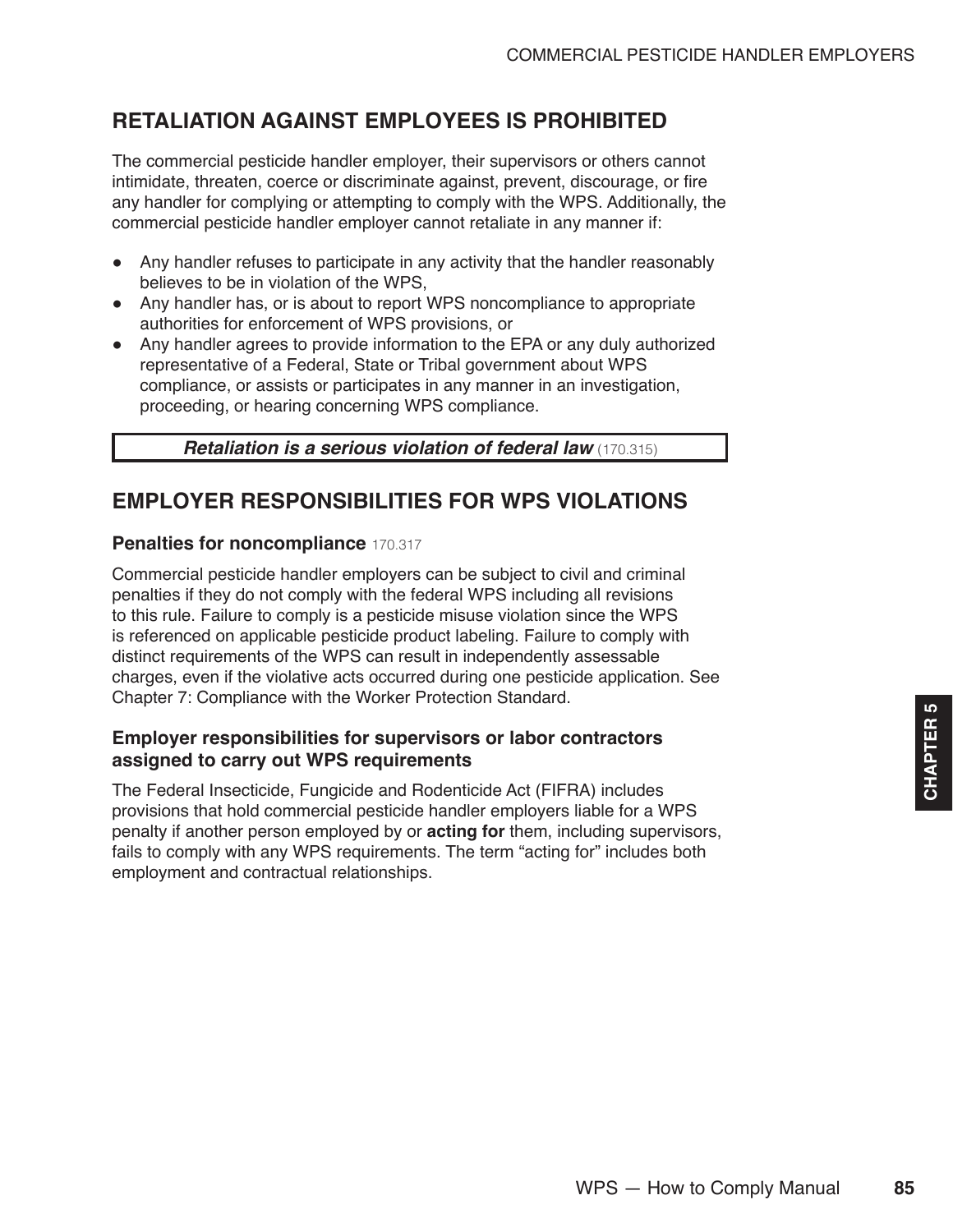## <span id="page-8-0"></span>**RETALIATION AGAINST EMPLOYEES IS PROHIBITED**

The commercial pesticide handler employer, their supervisors or others cannot intimidate, threaten, coerce or discriminate against, prevent, discourage, or fire any handler for complying or attempting to comply with the WPS. Additionally, the commercial pesticide handler employer cannot retaliate in any manner if:

- Any handler refuses to participate in any activity that the handler reasonably believes to be in violation of the WPS,
- Any handler has, or is about to report WPS noncompliance to appropriate authorities for enforcement of WPS provisions, or
- Any handler agrees to provide information to the EPA or any duly authorized representative of a Federal, State or Tribal government about WPS compliance, or assists or participates in any manner in an investigation, proceeding, or hearing concerning WPS compliance.

*Retaliation is a serious violation of federal law* (170.315)

### **EMPLOYER RESPONSIBILITIES FOR WPS VIOLATIONS**

#### **Penalties for noncompliance** 170.317

Commercial pesticide handler employers can be subject to civil and criminal penalties if they do not comply with the federal WPS including all revisions to this rule. Failure to comply is a pesticide misuse violation since the WPS is referenced on applicable pesticide product labeling. Failure to comply with distinct requirements of the WPS can result in independently assessable charges, even if the violative acts occurred during one pesticide application. See Chapter 7: Compliance with the Worker Protection Standard.

#### **Employer responsibilities for supervisors or labor contractors assigned to carry out WPS requirements**

The Federal Insecticide, Fungicide and Rodenticide Act (FIFRA) includes provisions that hold commercial pesticide handler employers liable for a WPS penalty if another person employed by or **acting for** them, including supervisors, fails to comply with any WPS requirements. The term "acting for" includes both employment and contractual relationships.